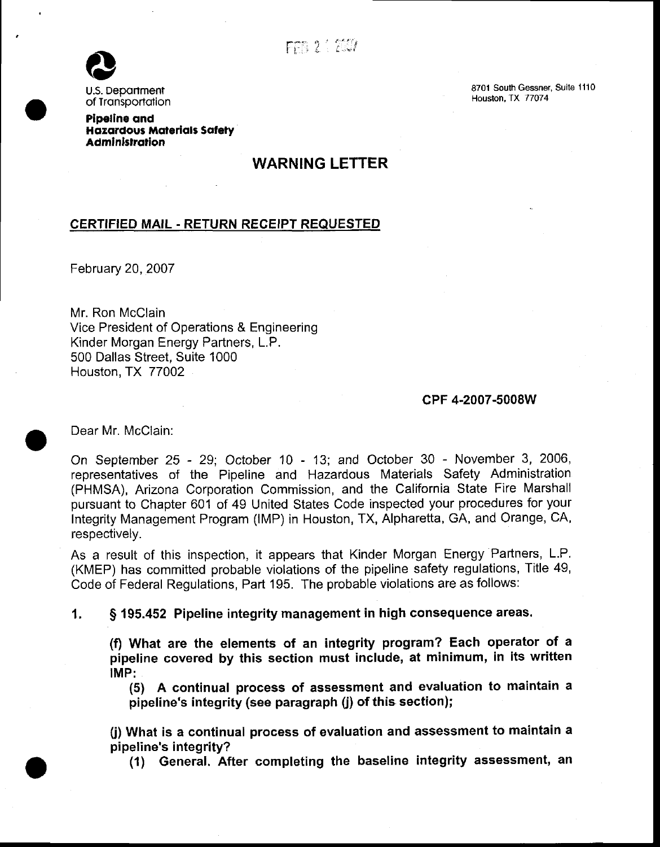

U.S. Department of Tronsportolion

Pipellne ond Hazardous Materials Safety **Administration** 

# WARNING LETTER

## CERTIFIED MAIL - RETURN REGEIPT REQUESTED

February 20,2007

Mr. Ron McClain Vice President of Operations & Engineering Kinder Morgan Energy Partners, L.P. 500 Dallas Street, Suite 1000 Houston, TX 77002

#### cPF 4-2007-5008W

Dear Mr. McClain:

On September 25 - 29; October 10 - 13; and October 30 - November 3, 2006, representatives of the Pipeline and Hazardous Materials Safety Administration (PHMSA), Arizona Corporation Commission, and the California State Fire Marshall pursuant to Chapter 601 of 49 United States Code inspected your procedures for your Integrity Management Program (lMP) in Houston, TX, Alpharetta, GA, and Orange, CA, respectively.

As a result of this inspection, it appears that Kinder Morgan Energy Partners, L.P. (KMEP) has committed probable violations of the pipeline safety regulations, Title 49, Code of Federal Regulations, Part 195. The probable violations are as follows:

1. S 195.452 Pipeline integrity management in high consequence areas.

(f) What are the elements of an integrity program? Each operator of a pipeline covered by this section must include, at minimum, in its written IMP:

(5) A continual process of assessment and evaluation to maintain a pipeline's integrity (see paragraph  $(i)$  of this section);

(j) What is a continual process of evaluation and assessment to maintain a pipeline's integrity?

(1) General. After completing the baseline integrity assessment, an

8701 South Gessner, Suite 1110 Houston, TX 77074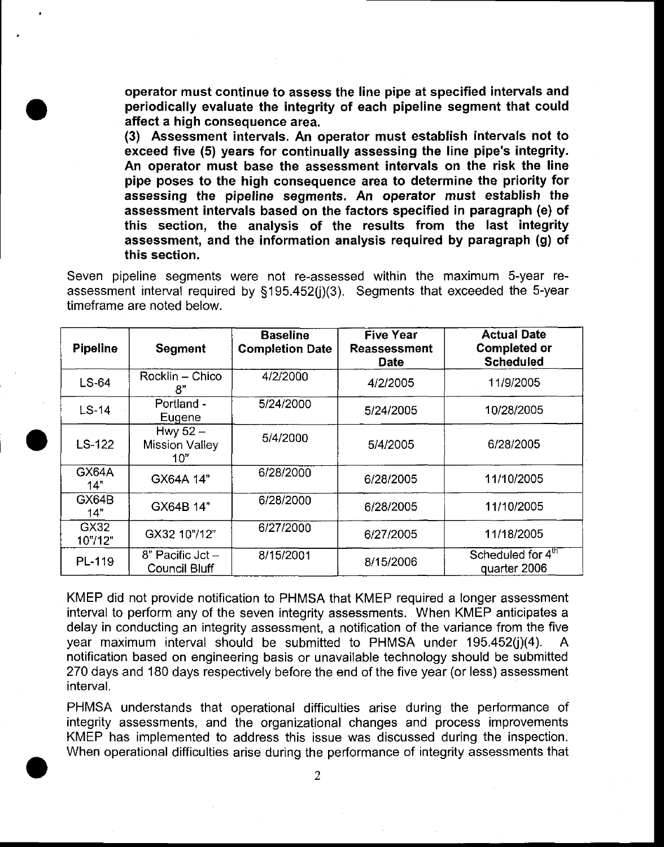operator must continue to assess the line pipe at specified intervals and periodically evaluate the integrity of each pipeline segment that could affect a high consequence area.

(3) Assessment intervals. An operator must establish intervals not to exceed five (5) years for continually assessing the line pipe's integrity. An operator must base the assessment intervals on the risk the line pipe poses to the high consequence area to determine the priority for assessing the pipeline segments, An operator must establish the assessment intervals based on the factors specified in paragraph (e) of this section, the analysis of the results from the last integrity assessment, and the information analysis required by paragraph (g) of this section.

Seven pipeline segments were not re-assessed within the maximum S-year reassessment interval required by §195.452(j)(3). Segments that exceeded the 5-year timeframe are noted below.

| <b>Pipeline</b>   | <b>Segment</b>                             | <b>Baseline</b><br><b>Completion Date</b> | <b>Five Year</b><br><b>Reassessment</b><br>Date | <b>Actual Date</b><br><b>Completed or</b><br><b>Scheduled</b> |
|-------------------|--------------------------------------------|-------------------------------------------|-------------------------------------------------|---------------------------------------------------------------|
| LS-64             | Rocklin - Chico<br>8"                      | 4/2/2000                                  | 4/2/2005                                        | 11/9/2005                                                     |
| $LS-14$           | Portland -<br>Eugene                       | 5/24/2000                                 | 5/24/2005                                       | 10/28/2005                                                    |
| $LS-122$          | Hwy $52 -$<br><b>Mission Valley</b><br>10" | 5/4/2000                                  | 5/4/2005                                        | 6/28/2005                                                     |
| GX64A<br>14"      | GX64A 14"                                  | 6/28/2000                                 | 6/28/2005                                       | 11/10/2005                                                    |
| GX64B<br>14"      | GX64B 14"                                  | 6/28/2000                                 | 6/28/2005                                       | 11/10/2005                                                    |
| GX32<br>10" / 12" | GX32 10"/12"                               | 6/27/2000                                 | 6/27/2005                                       | 11/18/2005                                                    |
| PL-119            | 8" Pacific Jct -<br><b>Council Bluff</b>   | 8/15/2001                                 | 8/15/2006                                       | Scheduled for 4 <sup>th</sup><br>quarter 2006                 |

KMEP did not provide notification to PHMSA that KMEP required a longer assessment interval to perform any of the seven integrity assessments. When KMEP anticipates a delay in conducting an integrity assessment, a notification of the variance from the five year maximum interval should be submitted to PHMSA under 195.452(j)(4). A notification based on engineering basis or unavailable technology should be submitted 270 days and 180 days respectively before the end of the five year (or less) assessment interval.

PHMSA understands that operational difficulties arise during the performance of integrity assessments, and the organizational changes and process improvements KMEP has implemented to address this issue was discussed during the inspection. When operational difficulties arise during the performance of integrity assessments that

 $\overline{2}$